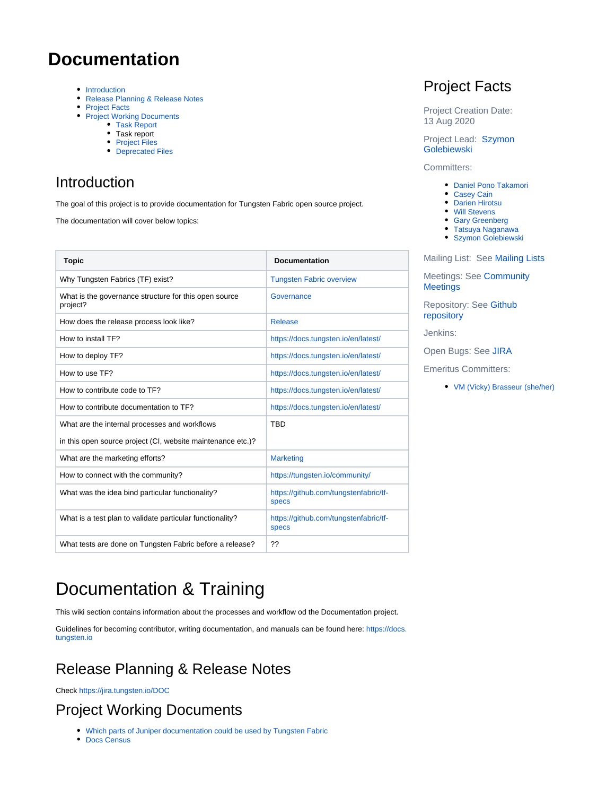# <span id="page-0-4"></span><span id="page-0-2"></span>**Documentation**

- [Introduction](#page-0-0)
- [Release Planning & Release Notes](#page-0-1)
- [Project Facts](#page-0-2)
- [Project Working Documents](#page-0-3)
	- [Task Report](#page-1-0)
		- Task report
		- [Project Files](#page-1-1)
		- [Deprecated Files](#page-1-2)

### <span id="page-0-0"></span>Introduction

The goal of this project is to provide documentation for Tungsten Fabric open source project.

The documentation will cover below topics:

| <b>Topic</b>                                                      | <b>Documentation</b>                                  |
|-------------------------------------------------------------------|-------------------------------------------------------|
| Why Tungsten Fabrics (TF) exist?                                  | <b>Tungsten Fabric overview</b>                       |
| What is the governance structure for this open source<br>project? | Governance                                            |
| How does the release process look like?                           | <b>Release</b>                                        |
| How to install TF?                                                | https://docs.tungsten.io/en/latest/                   |
| How to deploy TF?                                                 | https://docs.tungsten.io/en/latest/                   |
| How to use TF?                                                    | https://docs.tungsten.io/en/latest/                   |
| How to contribute code to TF?                                     | https://docs.tungsten.io/en/latest/                   |
| How to contribute documentation to TF?                            | https://docs.tungsten.io/en/latest/                   |
| What are the internal processes and workflows                     | <b>TBD</b>                                            |
| in this open source project (CI, website maintenance etc.)?       |                                                       |
| What are the marketing efforts?                                   | <b>Marketing</b>                                      |
| How to connect with the community?                                | https://tungsten.io/community/                        |
| What was the idea bind particular functionality?                  | https://github.com/tungstenfabric/tf-<br><b>specs</b> |
| What is a test plan to validate particular functionality?         | https://github.com/tungstenfabric/tf-<br><b>specs</b> |
| What tests are done on Tungsten Fabric before a release?          | ??                                                    |

## Project Facts

Project Creation Date: 13 Aug 2020

Project Lead: [Szymon](https://wiki.tungsten.io/display/~szymonv)  **[Golebiewski](https://wiki.tungsten.io/display/~szymonv)** 

Committers:

- [Daniel Pono Takamori](https://wiki.tungsten.io/display/~takamori)
- [Casey Cain](https://wiki.tungsten.io/display/~CaseyCain)
- [Darien Hirotsu](https://wiki.tungsten.io/display/~dhirotsu)
- [Will Stevens](https://wiki.tungsten.io/display/~swill)
- [Gary Greenberg](https://wiki.tungsten.io/display/~g262)
- [Tatsuya Naganawa](https://wiki.tungsten.io/display/~TatsuyaNaganawa) **[Szymon Golebiewski](https://wiki.tungsten.io/display/~szymonv)**

Mailing List: See [Mailing Lists](http://lists.tungsten.io/)

Meetings: See [Community](https://wiki.tungsten.io/display/TUN/Community+Meetings)  **[Meetings](https://wiki.tungsten.io/display/TUN/Community+Meetings)** 

Repository: See [Github](https://github.com/tungstenfabric/docs)  [repository](https://github.com/tungstenfabric/docs)

Jenkins:

Open Bugs: See [JIRA](https://jira.tungsten.io/issues/?jql=project%20%3D%20Documentation%20AND%20issuetype%20%3DBug%20And%20resolution%20%3D%20Unresolved%20ORDER%20BY%20created%20DESC%2C%20priority%20DESC%2C%20updated%20DESC)

Emeritus Committers:

[VM \(Vicky\) Brasseur \(she/her\)](https://wiki.tungsten.io/display/~vmbrasseur)

# Documentation & Training

This wiki section contains information about the processes and workflow od the Documentation project.

Guidelines for becoming contributor, writing documentation, and manuals can be found here: [https://docs.](https://docs.tungsten.io) [tungsten.io](https://docs.tungsten.io)

### <span id="page-0-1"></span>Release Planning & Release Notes

Check <https://jira.tungsten.io/DOC>

## <span id="page-0-3"></span>Project Working Documents

- [Which parts of Juniper documentation could be used by Tungsten Fabric](https://wiki.tungsten.io/display/TUN/Which+parts+of+Juniper+documentation+could+be+used+by+Tungsten+Fabric)
- [Docs Census](https://wiki.tungsten.io/display/TUN/Docs+Census)